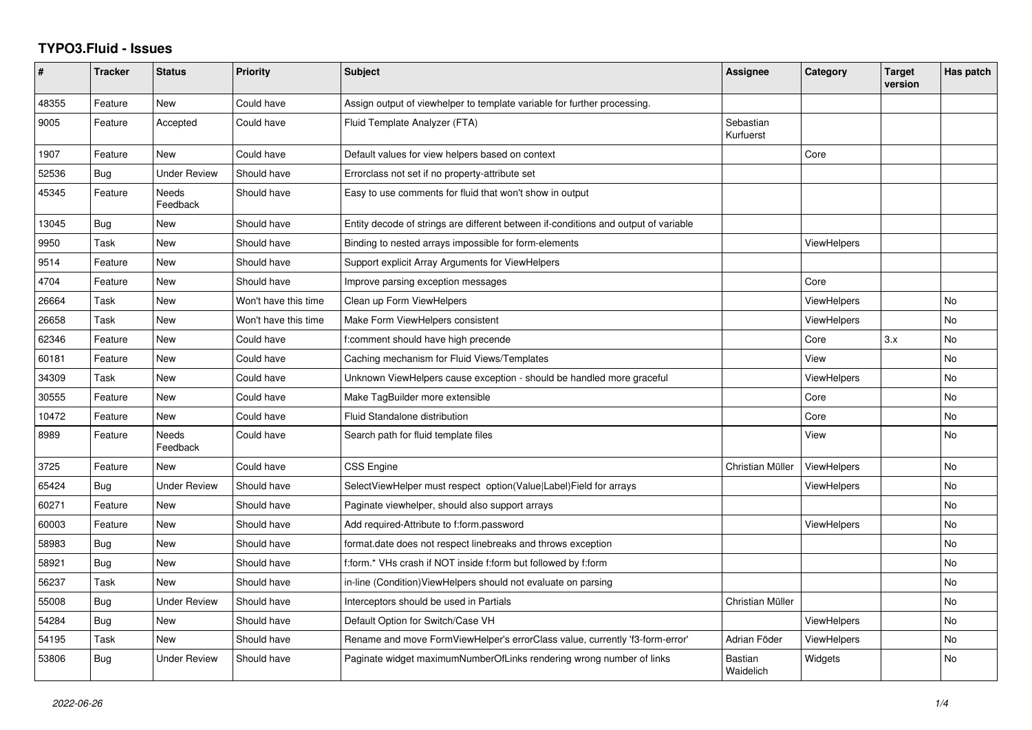## **TYPO3.Fluid - Issues**

| #     | <b>Tracker</b> | <b>Status</b>            | <b>Priority</b>      | <b>Subject</b>                                                                      | Assignee                    | Category           | <b>Target</b><br>version | Has patch      |
|-------|----------------|--------------------------|----------------------|-------------------------------------------------------------------------------------|-----------------------------|--------------------|--------------------------|----------------|
| 48355 | Feature        | <b>New</b>               | Could have           | Assign output of viewhelper to template variable for further processing.            |                             |                    |                          |                |
| 9005  | Feature        | Accepted                 | Could have           | Fluid Template Analyzer (FTA)                                                       | Sebastian<br>Kurfuerst      |                    |                          |                |
| 1907  | Feature        | New                      | Could have           | Default values for view helpers based on context                                    |                             | Core               |                          |                |
| 52536 | Bug            | <b>Under Review</b>      | Should have          | Errorclass not set if no property-attribute set                                     |                             |                    |                          |                |
| 45345 | Feature        | <b>Needs</b><br>Feedback | Should have          | Easy to use comments for fluid that won't show in output                            |                             |                    |                          |                |
| 13045 | Bug            | New                      | Should have          | Entity decode of strings are different between if-conditions and output of variable |                             |                    |                          |                |
| 9950  | Task           | <b>New</b>               | Should have          | Binding to nested arrays impossible for form-elements                               |                             | <b>ViewHelpers</b> |                          |                |
| 9514  | Feature        | New                      | Should have          | Support explicit Array Arguments for ViewHelpers                                    |                             |                    |                          |                |
| 4704  | Feature        | <b>New</b>               | Should have          | Improve parsing exception messages                                                  |                             | Core               |                          |                |
| 26664 | Task           | New                      | Won't have this time | Clean up Form ViewHelpers                                                           |                             | <b>ViewHelpers</b> |                          | <b>No</b>      |
| 26658 | Task           | New                      | Won't have this time | Make Form ViewHelpers consistent                                                    |                             | ViewHelpers        |                          | No             |
| 62346 | Feature        | <b>New</b>               | Could have           | f:comment should have high precende                                                 |                             | Core               | 3.x                      | <b>No</b>      |
| 60181 | Feature        | New                      | Could have           | Caching mechanism for Fluid Views/Templates                                         |                             | View               |                          | <b>No</b>      |
| 34309 | Task           | New                      | Could have           | Unknown ViewHelpers cause exception - should be handled more graceful               |                             | ViewHelpers        |                          | No             |
| 30555 | Feature        | New                      | Could have           | Make TagBuilder more extensible                                                     |                             | Core               |                          | No             |
| 10472 | Feature        | New                      | Could have           | <b>Fluid Standalone distribution</b>                                                |                             | Core               |                          | <b>No</b>      |
| 8989  | Feature        | <b>Needs</b><br>Feedback | Could have           | Search path for fluid template files                                                |                             | View               |                          | <b>No</b>      |
| 3725  | Feature        | New                      | Could have           | <b>CSS Engine</b>                                                                   | Christian Müller            | <b>ViewHelpers</b> |                          | <b>No</b>      |
| 65424 | Bug            | <b>Under Review</b>      | Should have          | SelectViewHelper must respect option(Value Label)Field for arrays                   |                             | <b>ViewHelpers</b> |                          | No             |
| 60271 | Feature        | <b>New</b>               | Should have          | Paginate viewhelper, should also support arrays                                     |                             |                    |                          | <b>No</b>      |
| 60003 | Feature        | New                      | Should have          | Add required-Attribute to f:form.password                                           |                             | <b>ViewHelpers</b> |                          | <b>No</b>      |
| 58983 | Bug            | New                      | Should have          | format.date does not respect linebreaks and throws exception                        |                             |                    |                          | No             |
| 58921 | Bug            | New                      | Should have          | f:form.* VHs crash if NOT inside f:form but followed by f:form                      |                             |                    |                          | <b>No</b>      |
| 56237 | Task           | New                      | Should have          | in-line (Condition) View Helpers should not evaluate on parsing                     |                             |                    |                          | <b>No</b>      |
| 55008 | Bug            | <b>Under Review</b>      | Should have          | Interceptors should be used in Partials                                             | Christian Müller            |                    |                          | <b>No</b>      |
| 54284 | Bug            | New                      | Should have          | Default Option for Switch/Case VH                                                   |                             | <b>ViewHelpers</b> |                          | <b>No</b>      |
| 54195 | Task           | New                      | Should have          | Rename and move FormViewHelper's errorClass value, currently 'f3-form-error'        | Adrian Föder                | <b>ViewHelpers</b> |                          | No             |
| 53806 | <b>Bug</b>     | <b>Under Review</b>      | Should have          | Paginate widget maximumNumberOfLinks rendering wrong number of links                | <b>Bastian</b><br>Waidelich | Widgets            |                          | N <sub>o</sub> |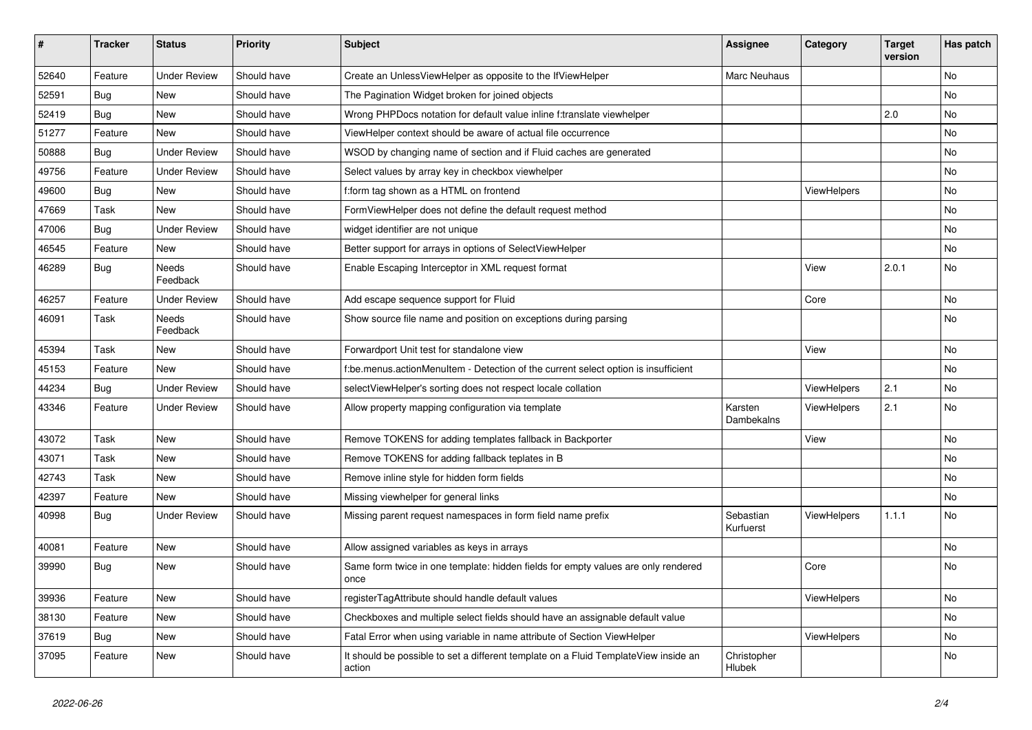| #     | <b>Tracker</b> | <b>Status</b>            | <b>Priority</b> | <b>Subject</b>                                                                                | <b>Assignee</b>        | Category    | <b>Target</b><br>version | Has patch |
|-------|----------------|--------------------------|-----------------|-----------------------------------------------------------------------------------------------|------------------------|-------------|--------------------------|-----------|
| 52640 | Feature        | <b>Under Review</b>      | Should have     | Create an UnlessViewHelper as opposite to the IfViewHelper                                    | Marc Neuhaus           |             |                          | <b>No</b> |
| 52591 | Bug            | New                      | Should have     | The Pagination Widget broken for joined objects                                               |                        |             |                          | No        |
| 52419 | Bug            | New                      | Should have     | Wrong PHPDocs notation for default value inline f:translate viewhelper                        |                        |             | 2.0                      | No        |
| 51277 | Feature        | <b>New</b>               | Should have     | ViewHelper context should be aware of actual file occurrence                                  |                        |             |                          | <b>No</b> |
| 50888 | Bug            | <b>Under Review</b>      | Should have     | WSOD by changing name of section and if Fluid caches are generated                            |                        |             |                          | No        |
| 49756 | Feature        | <b>Under Review</b>      | Should have     | Select values by array key in checkbox viewhelper                                             |                        |             |                          | No        |
| 49600 | Bug            | New                      | Should have     | f:form tag shown as a HTML on frontend                                                        |                        | ViewHelpers |                          | No        |
| 47669 | Task           | New                      | Should have     | FormViewHelper does not define the default request method                                     |                        |             |                          | No        |
| 47006 | Bug            | <b>Under Review</b>      | Should have     | widget identifier are not unique                                                              |                        |             |                          | No        |
| 46545 | Feature        | New                      | Should have     | Better support for arrays in options of SelectViewHelper                                      |                        |             |                          | No        |
| 46289 | Bug            | <b>Needs</b><br>Feedback | Should have     | Enable Escaping Interceptor in XML request format                                             |                        | View        | 2.0.1                    | No        |
| 46257 | Feature        | <b>Under Review</b>      | Should have     | Add escape sequence support for Fluid                                                         |                        | Core        |                          | No        |
| 46091 | Task           | Needs<br>Feedback        | Should have     | Show source file name and position on exceptions during parsing                               |                        |             |                          | <b>No</b> |
| 45394 | Task           | New                      | Should have     | Forwardport Unit test for standalone view                                                     |                        | View        |                          | <b>No</b> |
| 45153 | Feature        | <b>New</b>               | Should have     | f:be.menus.actionMenuItem - Detection of the current select option is insufficient            |                        |             |                          | No        |
| 44234 | Bug            | <b>Under Review</b>      | Should have     | selectViewHelper's sorting does not respect locale collation                                  |                        | ViewHelpers | 2.1                      | No        |
| 43346 | Feature        | <b>Under Review</b>      | Should have     | Allow property mapping configuration via template                                             | Karsten<br>Dambekalns  | ViewHelpers | 2.1                      | No        |
| 43072 | Task           | New                      | Should have     | Remove TOKENS for adding templates fallback in Backporter                                     |                        | View        |                          | No        |
| 43071 | Task           | <b>New</b>               | Should have     | Remove TOKENS for adding fallback teplates in B                                               |                        |             |                          | No        |
| 42743 | Task           | New                      | Should have     | Remove inline style for hidden form fields                                                    |                        |             |                          | No        |
| 42397 | Feature        | New                      | Should have     | Missing viewhelper for general links                                                          |                        |             |                          | No        |
| 40998 | Bug            | <b>Under Review</b>      | Should have     | Missing parent request namespaces in form field name prefix                                   | Sebastian<br>Kurfuerst | ViewHelpers | 1.1.1                    | No        |
| 40081 | Feature        | <b>New</b>               | Should have     | Allow assigned variables as keys in arrays                                                    |                        |             |                          | No        |
| 39990 | Bug            | New                      | Should have     | Same form twice in one template: hidden fields for empty values are only rendered<br>once     |                        | Core        |                          | <b>No</b> |
| 39936 | Feature        | New                      | Should have     | registerTagAttribute should handle default values                                             |                        | ViewHelpers |                          | No        |
| 38130 | Feature        | New                      | Should have     | Checkboxes and multiple select fields should have an assignable default value                 |                        |             |                          | No        |
| 37619 | Bug            | New                      | Should have     | Fatal Error when using variable in name attribute of Section ViewHelper                       |                        | ViewHelpers |                          | No        |
| 37095 | Feature        | New                      | Should have     | It should be possible to set a different template on a Fluid TemplateView inside an<br>action | Christopher<br>Hlubek  |             |                          | No        |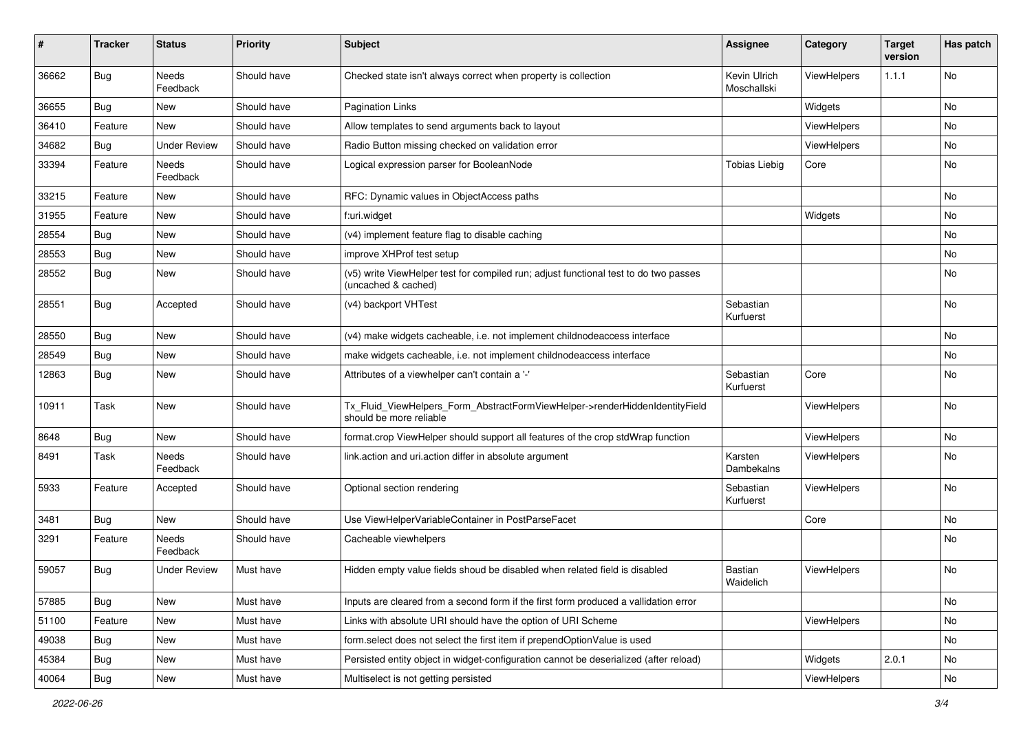| #     | <b>Tracker</b> | <b>Status</b>            | <b>Priority</b> | <b>Subject</b>                                                                                              | <b>Assignee</b>             | Category    | <b>Target</b><br>version | Has patch |
|-------|----------------|--------------------------|-----------------|-------------------------------------------------------------------------------------------------------------|-----------------------------|-------------|--------------------------|-----------|
| 36662 | Bug            | <b>Needs</b><br>Feedback | Should have     | Checked state isn't always correct when property is collection                                              | Kevin Ulrich<br>Moschallski | ViewHelpers | 1.1.1                    | No        |
| 36655 | <b>Bug</b>     | New                      | Should have     | <b>Pagination Links</b>                                                                                     |                             | Widgets     |                          | No        |
| 36410 | Feature        | <b>New</b>               | Should have     | Allow templates to send arguments back to layout                                                            |                             | ViewHelpers |                          | No        |
| 34682 | Bug            | <b>Under Review</b>      | Should have     | Radio Button missing checked on validation error                                                            |                             | ViewHelpers |                          | No        |
| 33394 | Feature        | <b>Needs</b><br>Feedback | Should have     | Logical expression parser for BooleanNode                                                                   | <b>Tobias Liebig</b>        | Core        |                          | No        |
| 33215 | Feature        | New                      | Should have     | RFC: Dynamic values in ObjectAccess paths                                                                   |                             |             |                          | No        |
| 31955 | Feature        | New                      | Should have     | f:uri.widget                                                                                                |                             | Widgets     |                          | No        |
| 28554 | Bug            | New                      | Should have     | (v4) implement feature flag to disable caching                                                              |                             |             |                          | No        |
| 28553 | <b>Bug</b>     | New                      | Should have     | improve XHProf test setup                                                                                   |                             |             |                          | No        |
| 28552 | Bug            | New                      | Should have     | (v5) write ViewHelper test for compiled run; adjust functional test to do two passes<br>(uncached & cached) |                             |             |                          | No        |
| 28551 | Bug            | Accepted                 | Should have     | (v4) backport VHTest                                                                                        | Sebastian<br>Kurfuerst      |             |                          | No        |
| 28550 | Bug            | New                      | Should have     | (v4) make widgets cacheable, i.e. not implement childnodeaccess interface                                   |                             |             |                          | No        |
| 28549 | Bug            | New                      | Should have     | make widgets cacheable, i.e. not implement childnodeaccess interface                                        |                             |             |                          | No        |
| 12863 | Bug            | New                      | Should have     | Attributes of a viewhelper can't contain a '-'                                                              | Sebastian<br>Kurfuerst      | Core        |                          | No        |
| 10911 | Task           | New                      | Should have     | Tx_Fluid_ViewHelpers_Form_AbstractFormViewHelper->renderHiddenIdentityField<br>should be more reliable      |                             | ViewHelpers |                          | No        |
| 8648  | Bug            | New                      | Should have     | format.crop ViewHelper should support all features of the crop stdWrap function                             |                             | ViewHelpers |                          | No        |
| 8491  | Task           | Needs<br>Feedback        | Should have     | link.action and uri.action differ in absolute argument                                                      | Karsten<br>Dambekalns       | ViewHelpers |                          | No        |
| 5933  | Feature        | Accepted                 | Should have     | Optional section rendering                                                                                  | Sebastian<br>Kurfuerst      | ViewHelpers |                          | No        |
| 3481  | Bug            | <b>New</b>               | Should have     | Use ViewHelperVariableContainer in PostParseFacet                                                           |                             | Core        |                          | No        |
| 3291  | Feature        | Needs<br>Feedback        | Should have     | Cacheable viewhelpers                                                                                       |                             |             |                          | No        |
| 59057 | <b>Bug</b>     | <b>Under Review</b>      | Must have       | Hidden empty value fields shoud be disabled when related field is disabled                                  | <b>Bastian</b><br>Waidelich | ViewHelpers |                          | No        |
| 57885 | Bug            | New                      | Must have       | Inputs are cleared from a second form if the first form produced a vallidation error                        |                             |             |                          | No        |
| 51100 | Feature        | New                      | Must have       | Links with absolute URI should have the option of URI Scheme                                                |                             | ViewHelpers |                          | No        |
| 49038 | <b>Bug</b>     | New                      | Must have       | form.select does not select the first item if prependOptionValue is used                                    |                             |             |                          | No        |
| 45384 | Bug            | New                      | Must have       | Persisted entity object in widget-configuration cannot be deserialized (after reload)                       |                             | Widgets     | 2.0.1                    | No        |
| 40064 | <b>Bug</b>     | New                      | Must have       | Multiselect is not getting persisted                                                                        |                             | ViewHelpers |                          | No        |